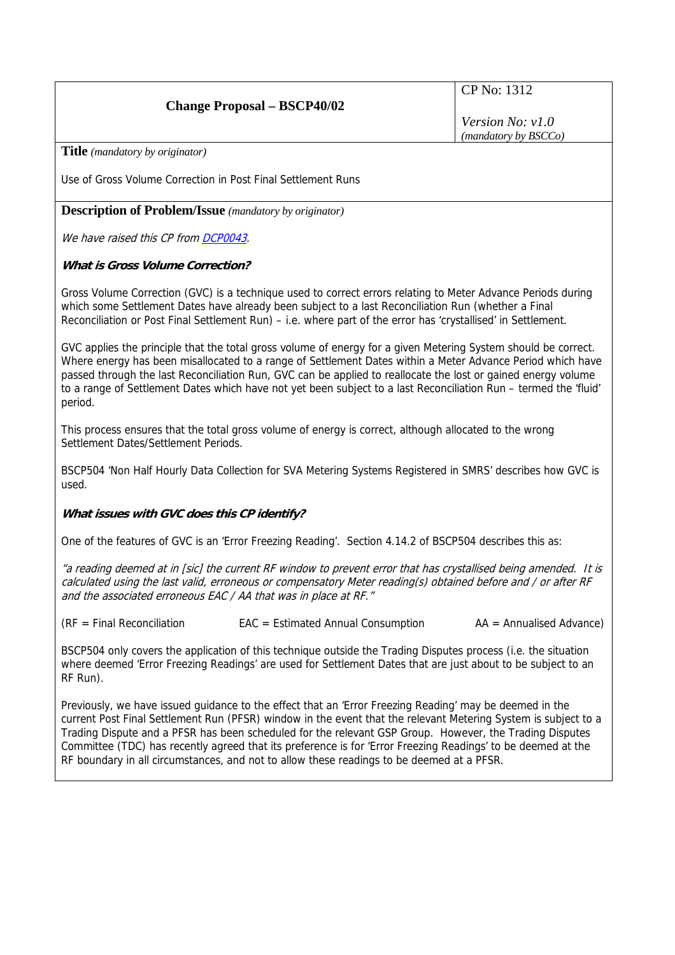## **Change Proposal – BSCP40/02**

CP No: 1312

*Version No: v1.0 (mandatory by BSCCo)*

**Title** *(mandatory by originator)* 

Use of Gross Volume Correction in Post Final Settlement Runs

**Description of Problem/Issue** *(mandatory by originator)* 

We have raised this CP from [DCP0043](http://www.elexon.co.uk/changeimplementation/ChangeProcess/proposals/proposal_details.aspx?proposalId=837).

## **What is Gross Volume Correction?**

Gross Volume Correction (GVC) is a technique used to correct errors relating to Meter Advance Periods during which some Settlement Dates have already been subject to a last Reconciliation Run (whether a Final Reconciliation or Post Final Settlement Run) – i.e. where part of the error has 'crystallised' in Settlement.

GVC applies the principle that the total gross volume of energy for a given Metering System should be correct. Where energy has been misallocated to a range of Settlement Dates within a Meter Advance Period which have passed through the last Reconciliation Run, GVC can be applied to reallocate the lost or gained energy volume to a range of Settlement Dates which have not yet been subject to a last Reconciliation Run – termed the 'fluid' period.

This process ensures that the total gross volume of energy is correct, although allocated to the wrong Settlement Dates/Settlement Periods.

BSCP504 'Non Half Hourly Data Collection for SVA Metering Systems Registered in SMRS' describes how GVC is used.

### **What issues with GVC does this CP identify?**

One of the features of GVC is an 'Error Freezing Reading'. Section 4.14.2 of BSCP504 describes this as:

"a reading deemed at in [sic] the current RF window to prevent error that has crystallised being amended. It is calculated using the last valid, erroneous or compensatory Meter reading(s) obtained before and / or after RF and the associated erroneous EAC / AA that was in place at RF."

(RF = Final Reconciliation EAC = Estimated Annual Consumption AA = Annualised Advance)

BSCP504 only covers the application of this technique outside the Trading Disputes process (i.e. the situation where deemed 'Error Freezing Readings' are used for Settlement Dates that are just about to be subject to an RF Run).

Previously, we have issued guidance to the effect that an 'Error Freezing Reading' may be deemed in the current Post Final Settlement Run (PFSR) window in the event that the relevant Metering System is subject to a Trading Dispute and a PFSR has been scheduled for the relevant GSP Group. However, the Trading Disputes Committee (TDC) has recently agreed that its preference is for 'Error Freezing Readings' to be deemed at the RF boundary in all circumstances, and not to allow these readings to be deemed at a PFSR.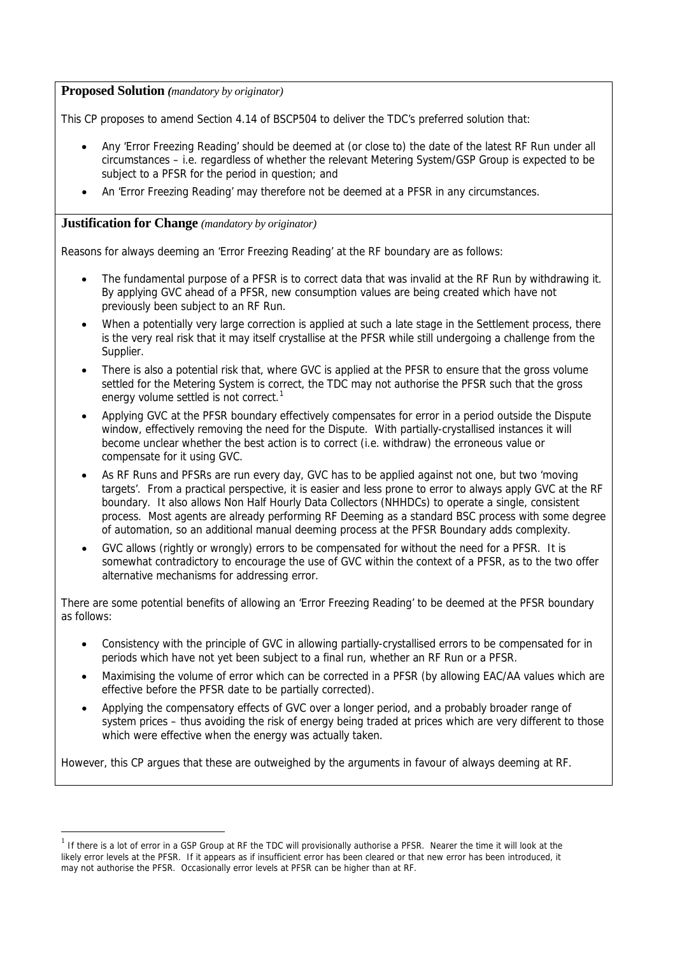## **Proposed Solution** *(mandatory by originator)*

This CP proposes to amend Section 4.14 of BSCP504 to deliver the TDC's preferred solution that:

- Any 'Error Freezing Reading' should be deemed at (or close to) the date of the latest RF Run under all circumstances – i.e. regardless of whether the relevant Metering System/GSP Group is expected to be subject to a PFSR for the period in question; and
- An 'Error Freezing Reading' may therefore not be deemed at a PFSR in any circumstances.

## **Justification for Change** *(mandatory by originator)*

 $\overline{a}$ 

Reasons for always deeming an 'Error Freezing Reading' at the RF boundary are as follows:

- The fundamental purpose of a PFSR is to correct data that was invalid at the RF Run by withdrawing it. By applying GVC ahead of a PFSR, new consumption values are being created which have not previously been subject to an RF Run.
- When a potentially very large correction is applied at such a late stage in the Settlement process, there is the very real risk that it may itself crystallise at the PFSR while still undergoing a challenge from the Supplier.
- There is also a potential risk that, where GVC is applied at the PFSR to ensure that the gross volume settled for the Metering System is correct, the TDC may not authorise the PFSR such that the gross energy volume settled is not correct. $1$
- Applying GVC at the PFSR boundary effectively compensates for error in a period outside the Dispute window, effectively removing the need for the Dispute. With partially-crystallised instances it will become unclear whether the best action is to correct (i.e. withdraw) the erroneous value or compensate for it using GVC.
- As RF Runs and PFSRs are run every day, GVC has to be applied against not one, but two 'moving targets'. From a practical perspective, it is easier and less prone to error to always apply GVC at the RF boundary. It also allows Non Half Hourly Data Collectors (NHHDCs) to operate a single, consistent process. Most agents are already performing RF Deeming as a standard BSC process with some degree of automation, so an additional manual deeming process at the PFSR Boundary adds complexity.
- GVC allows (rightly or wrongly) errors to be compensated for without the need for a PFSR. It is somewhat contradictory to encourage the use of GVC within the context of a PFSR, as to the two offer alternative mechanisms for addressing error.

There are some potential benefits of allowing an 'Error Freezing Reading' to be deemed at the PFSR boundary as follows:

- Consistency with the principle of GVC in allowing partially-crystallised errors to be compensated for in periods which have not yet been subject to a final run, whether an RF Run or a PFSR.
- Maximising the volume of error which can be corrected in a PFSR (by allowing EAC/AA values which are effective before the PFSR date to be partially corrected).
- Applying the compensatory effects of GVC over a longer period, and a probably broader range of system prices – thus avoiding the risk of energy being traded at prices which are very different to those which were effective when the energy was actually taken.

However, this CP argues that these are outweighed by the arguments in favour of always deeming at RF.

<span id="page-1-0"></span> $<sup>1</sup>$  If there is a lot of error in a GSP Group at RF the TDC will provisionally authorise a PFSR. Nearer the time it will look at the</sup> likely error levels at the PFSR. If it appears as if insufficient error has been cleared or that new error has been introduced, it may not authorise the PFSR. Occasionally error levels at PFSR can be higher than at RF.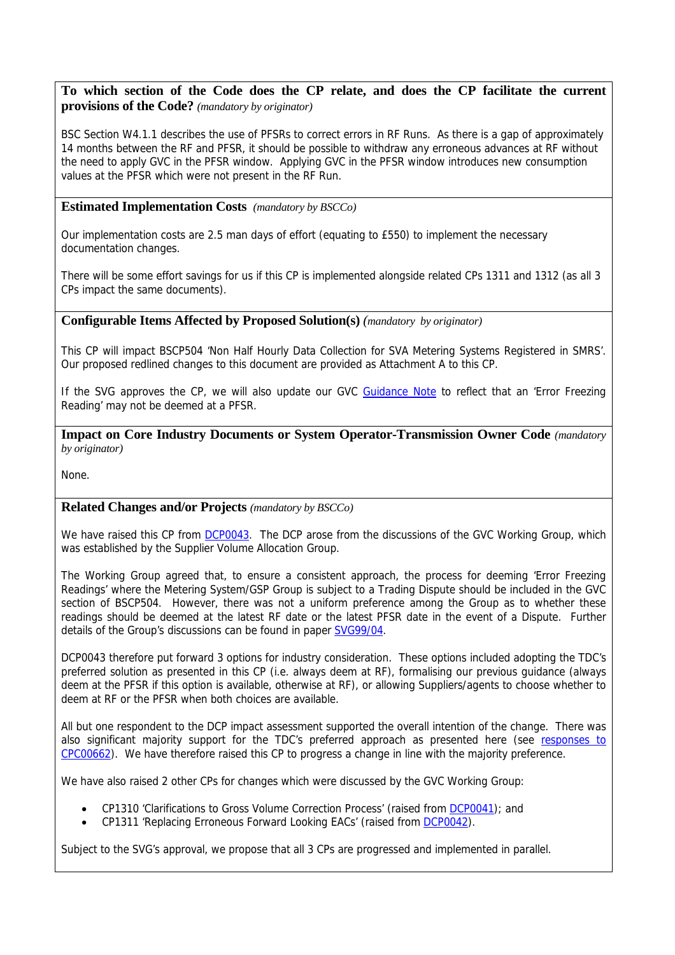## **To which section of the Code does the CP relate, and does the CP facilitate the current provisions of the Code?** *(mandatory by originator)*

BSC Section W4.1.1 describes the use of PFSRs to correct errors in RF Runs. As there is a gap of approximately 14 months between the RF and PFSR, it should be possible to withdraw any erroneous advances at RF without the need to apply GVC in the PFSR window. Applying GVC in the PFSR window introduces new consumption values at the PFSR which were not present in the RF Run.

## **Estimated Implementation Costs** *(mandatory by BSCCo)*

Our implementation costs are 2.5 man days of effort (equating to £550) to implement the necessary documentation changes.

There will be some effort savings for us if this CP is implemented alongside related CPs 1311 and 1312 (as all 3 CPs impact the same documents).

### **Configurable Items Affected by Proposed Solution(s)** *(mandatory by originator)*

This CP will impact BSCP504 'Non Half Hourly Data Collection for SVA Metering Systems Registered in SMRS'. Our proposed redlined changes to this document are provided as Attachment A to this CP.

If the SVG approves the CP, we will also update our GVC [Guidance Note](http://www.elexon.co.uk/documents/Publications/Guidance_Notes/Gross_Volume_Correction.pdf) to reflect that an 'Error Freezing Reading' may not be deemed at a PFSR.

**Impact on Core Industry Documents or System Operator-Transmission Owner Code** *(mandatory by originator)* 

None.

### **Related Changes and/or Projects** *(mandatory by BSCCo)*

We have raised this CP from [DCP0043.](http://www.elexon.co.uk/changeimplementation/ChangeProcess/proposals/proposal_details.aspx?proposalId=837) The DCP arose from the discussions of the GVC Working Group, which was established by the Supplier Volume Allocation Group.

The Working Group agreed that, to ensure a consistent approach, the process for deeming 'Error Freezing Readings' where the Metering System/GSP Group is subject to a Trading Dispute should be included in the GVC section of BSCP504. However, there was not a uniform preference among the Group as to whether these readings should be deemed at the latest RF date or the latest PFSR date in the event of a Dispute. Further details of the Group's discussions can be found in paper [SVG99/04.](http://www.elexon.co.uk/documents/BSC_Panel_and_Panel_Committees/SVG_Meeting_2009_-_099_-_Papers/SVG99_04_v1_0.pdf)

DCP0043 therefore put forward 3 options for industry consideration. These options included adopting the TDC's preferred solution as presented in this CP (i.e. always deem at RF), formalising our previous guidance (always deem at the PFSR if this option is available, otherwise at RF), or allowing Suppliers/agents to choose whether to deem at RF or the PFSR when both choices are available.

All but one respondent to the DCP impact assessment supported the overall intention of the change. There was also significant majority support for the TDC's preferred approach as presented here (see [responses to](http://www.elexon.co.uk/changeimplementation/ChangeProcess/proposals/proposal_details.aspx?proposalId=830)  [CPC00662\)](http://www.elexon.co.uk/changeimplementation/ChangeProcess/proposals/proposal_details.aspx?proposalId=830). We have therefore raised this CP to progress a change in line with the majority preference.

We have also raised 2 other CPs for changes which were discussed by the GVC Working Group:

- CP1310 'Clarifications to Gross Volume Correction Process' (raised from [DCP0041](http://www.elexon.co.uk/changeimplementation/ChangeProcess/proposals/proposal_details.aspx?proposalId=830)); and
- CP1311 'Replacing Erroneous Forward Looking EACs' (raised from [DCP0042](http://www.elexon.co.uk/changeimplementation/ChangeProcess/proposals/proposal_details.aspx?proposalId=831)).

Subject to the SVG's approval, we propose that all 3 CPs are progressed and implemented in parallel.